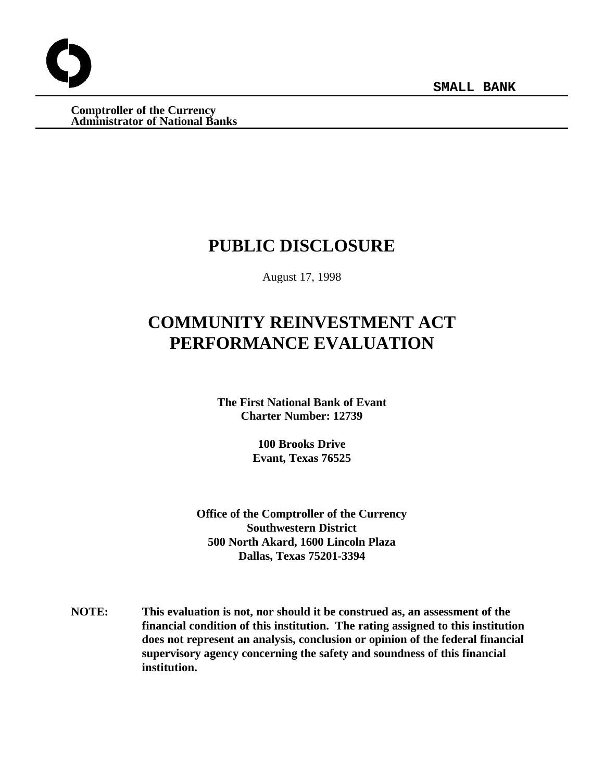**SMALL BANK**

**Comptroller of the Currency Administrator of National Banks**

# **PUBLIC DISCLOSURE**

August 17, 1998

# **COMMUNITY REINVESTMENT ACT PERFORMANCE EVALUATION**

**The First National Bank of Evant Charter Number: 12739**

> **100 Brooks Drive Evant, Texas 76525**

**Office of the Comptroller of the Currency Southwestern District 500 North Akard, 1600 Lincoln Plaza Dallas, Texas 75201-3394**

**NOTE: This evaluation is not, nor should it be construed as, an assessment of the financial condition of this institution. The rating assigned to this institution does not represent an analysis, conclusion or opinion of the federal financial supervisory agency concerning the safety and soundness of this financial institution.**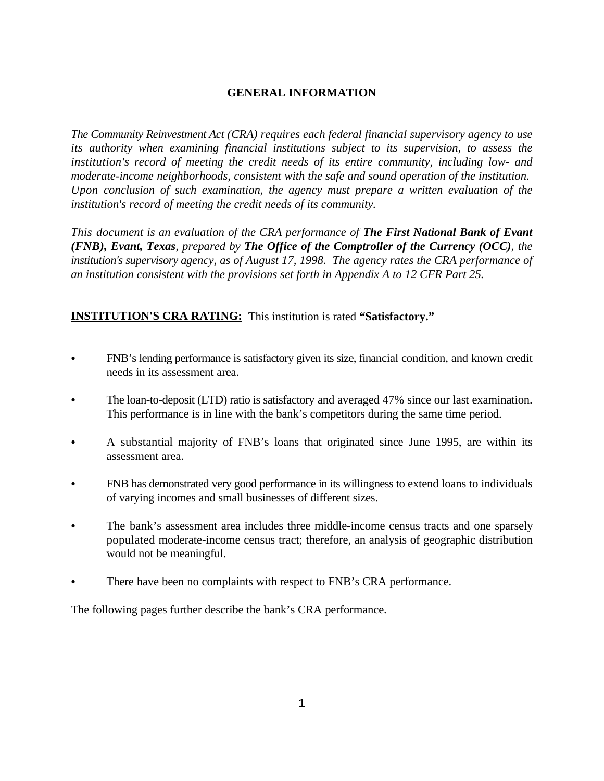## **GENERAL INFORMATION**

*The Community Reinvestment Act (CRA) requires each federal financial supervisory agency to use its authority when examining financial institutions subject to its supervision, to assess the institution's record of meeting the credit needs of its entire community, including low- and moderate-income neighborhoods, consistent with the safe and sound operation of the institution. Upon conclusion of such examination, the agency must prepare a written evaluation of the institution's record of meeting the credit needs of its community.* 

*This document is an evaluation of the CRA performance of The First National Bank of Evant (FNB), Evant, Texas, prepared by The Office of the Comptroller of the Currency (OCC), the institution's supervisory agency, as of August 17, 1998. The agency rates the CRA performance of an institution consistent with the provisions set forth in Appendix A to 12 CFR Part 25.*

# **INSTITUTION'S CRA RATING:** This institution is rated **"Satisfactory."**

- FNB's lending performance is satisfactory given its size, financial condition, and known credit needs in its assessment area.
- The loan-to-deposit (LTD) ratio is satisfactory and averaged 47% since our last examination. This performance is in line with the bank's competitors during the same time period.
- A substantial majority of FNB's loans that originated since June 1995, are within its assessment area.
- FNB has demonstrated very good performance in its willingness to extend loans to individuals of varying incomes and small businesses of different sizes.
- The bank's assessment area includes three middle-income census tracts and one sparsely populated moderate-income census tract; therefore, an analysis of geographic distribution would not be meaningful.
- There have been no complaints with respect to FNB's CRA performance.

The following pages further describe the bank's CRA performance.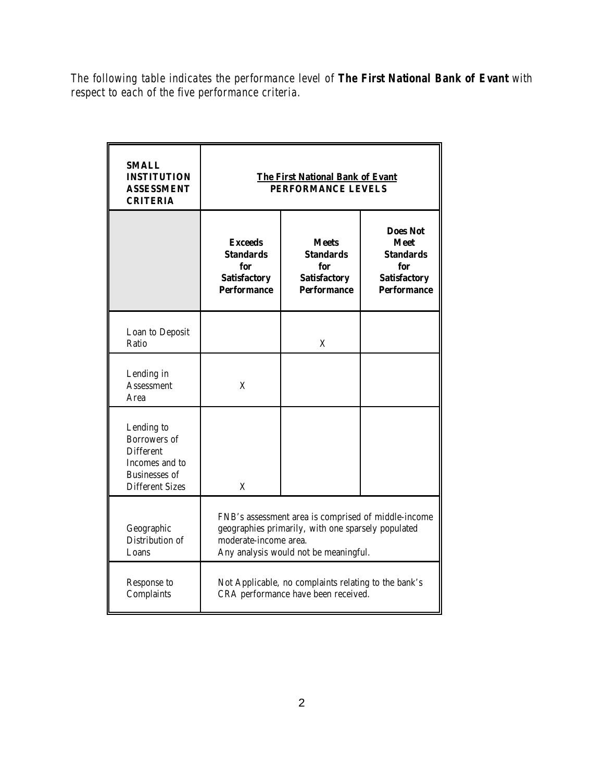*The following table indicates the performance level of The First National Bank of Evant with respect to each of the five performance criteria.*

| <b>SMALL</b><br><b>INSTITUTION</b><br><b>ASSESSMENT</b><br><b>CRITERIA</b>                                         | <b>The First National Bank of Evant</b><br>PERFORMANCE LEVELS                                                                                                               |                                                                                      |                                                                                                        |  |  |  |  |
|--------------------------------------------------------------------------------------------------------------------|-----------------------------------------------------------------------------------------------------------------------------------------------------------------------------|--------------------------------------------------------------------------------------|--------------------------------------------------------------------------------------------------------|--|--|--|--|
|                                                                                                                    | <b>Exceeds</b><br><b>Standards</b><br>for<br><b>Satisfactory</b><br><b>Performance</b>                                                                                      | <b>Meets</b><br><b>Standards</b><br>for<br><b>Satisfactory</b><br><b>Performance</b> | <b>Does Not</b><br><b>Meet</b><br><b>Standards</b><br>for<br><b>Satisfactory</b><br><b>Performance</b> |  |  |  |  |
| Loan to Deposit<br>Ratio                                                                                           |                                                                                                                                                                             | X                                                                                    |                                                                                                        |  |  |  |  |
| Lending in<br><b>Assessment</b><br>Area                                                                            | X                                                                                                                                                                           |                                                                                      |                                                                                                        |  |  |  |  |
| Lending to<br>Borrowers of<br><b>Different</b><br>Incomes and to<br><b>Businesses of</b><br><b>Different Sizes</b> | X                                                                                                                                                                           |                                                                                      |                                                                                                        |  |  |  |  |
| Geographic<br>Distribution of<br>Loans                                                                             | FNB's assessment area is comprised of middle-income<br>geographies primarily, with one sparsely populated<br>moderate-income area.<br>Any analysis would not be meaningful. |                                                                                      |                                                                                                        |  |  |  |  |
| Response to<br>Complaints                                                                                          | Not Applicable, no complaints relating to the bank's<br>CRA performance have been received.                                                                                 |                                                                                      |                                                                                                        |  |  |  |  |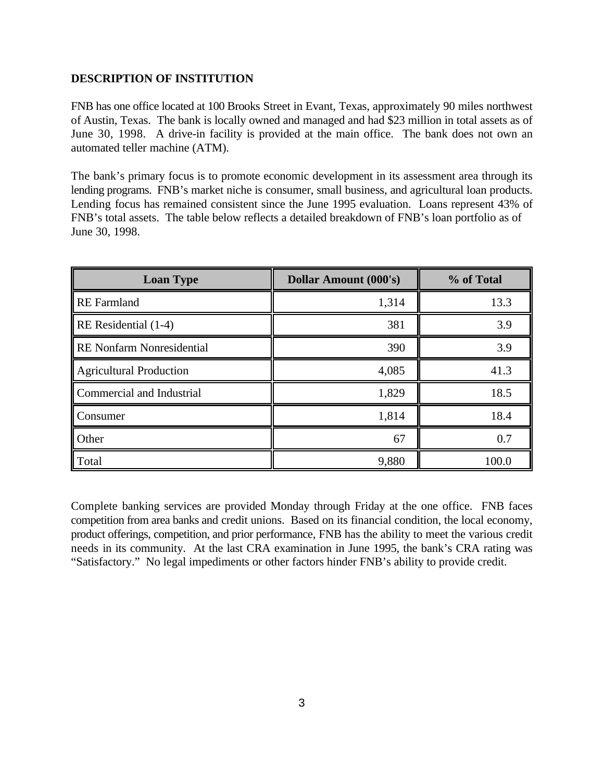## **DESCRIPTION OF INSTITUTION**

FNB has one office located at 100 Brooks Street in Evant, Texas, approximately 90 miles northwest of Austin, Texas. The bank is locally owned and managed and had \$23 million in total assets as of June 30, 1998. A drive-in facility is provided at the main office. The bank does not own an automated teller machine (ATM).

The bank's primary focus is to promote economic development in its assessment area through its lending programs. FNB's market niche is consumer, small business, and agricultural loan products. Lending focus has remained consistent since the June 1995 evaluation. Loans represent 43% of FNB's total assets. The table below reflects a detailed breakdown of FNB's loan portfolio as of June 30, 1998.

| <b>Loan Type</b>                  | <b>Dollar Amount (000's)</b> | % of Total |  |  |
|-----------------------------------|------------------------------|------------|--|--|
| <b>RE</b> Farmland                | 1,314                        | 13.3       |  |  |
| $\mathbb{R}$ RE Residential (1-4) | 381                          | 3.9        |  |  |
| RE Nonfarm Nonresidential         | 390                          | 3.9        |  |  |
| Agricultural Production           | 4,085                        | 41.3       |  |  |
| Commercial and Industrial         | 1,829                        | 18.5       |  |  |
| Consumer                          | 1,814                        | 18.4       |  |  |
| <b>Other</b>                      | 67                           | 0.7        |  |  |
| Total                             | 9,880                        | 100.0      |  |  |

Complete banking services are provided Monday through Friday at the one office. FNB faces competition from area banks and credit unions. Based on its financial condition, the local economy, product offerings, competition, and prior performance, FNB has the ability to meet the various credit needs in its community. At the last CRA examination in June 1995, the bank's CRA rating was "Satisfactory." No legal impediments or other factors hinder FNB's ability to provide credit.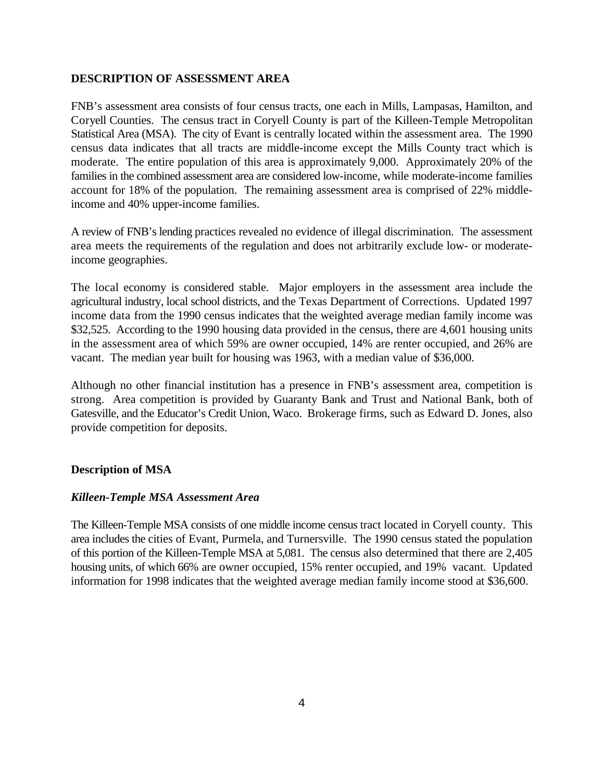### **DESCRIPTION OF ASSESSMENT AREA**

FNB's assessment area consists of four census tracts, one each in Mills, Lampasas, Hamilton, and Coryell Counties. The census tract in Coryell County is part of the Killeen-Temple Metropolitan Statistical Area (MSA). The city of Evant is centrally located within the assessment area. The 1990 census data indicates that all tracts are middle-income except the Mills County tract which is moderate. The entire population of this area is approximately 9,000. Approximately 20% of the families in the combined assessment area are considered low-income, while moderate-income families account for 18% of the population. The remaining assessment area is comprised of 22% middleincome and 40% upper-income families.

A review of FNB's lending practices revealed no evidence of illegal discrimination. The assessment area meets the requirements of the regulation and does not arbitrarily exclude low- or moderateincome geographies.

The local economy is considered stable. Major employers in the assessment area include the agricultural industry, local school districts, and the Texas Department of Corrections. Updated 1997 income data from the 1990 census indicates that the weighted average median family income was \$32,525. According to the 1990 housing data provided in the census, there are 4,601 housing units in the assessment area of which 59% are owner occupied, 14% are renter occupied, and 26% are vacant. The median year built for housing was 1963, with a median value of \$36,000.

Although no other financial institution has a presence in FNB's assessment area, competition is strong. Area competition is provided by Guaranty Bank and Trust and National Bank, both of Gatesville, and the Educator's Credit Union, Waco. Brokerage firms, such as Edward D. Jones, also provide competition for deposits.

## **Description of MSA**

#### *Killeen-Temple MSA Assessment Area*

The Killeen-Temple MSA consists of one middle income census tract located in Coryell county. This area includes the cities of Evant, Purmela, and Turnersville. The 1990 census stated the population of this portion of the Killeen-Temple MSA at 5,081. The census also determined that there are 2,405 housing units, of which 66% are owner occupied, 15% renter occupied, and 19% vacant. Updated information for 1998 indicates that the weighted average median family income stood at \$36,600.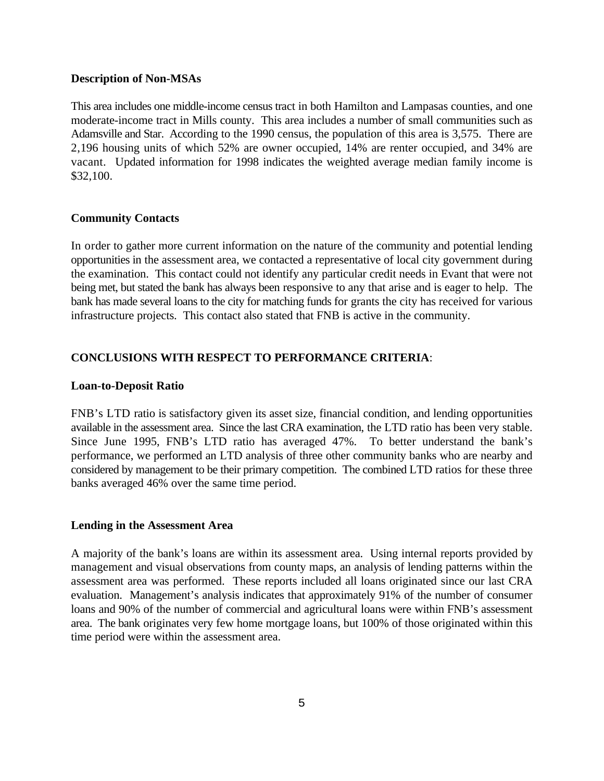#### **Description of Non-MSAs**

This area includes one middle-income census tract in both Hamilton and Lampasas counties, and one moderate-income tract in Mills county. This area includes a number of small communities such as Adamsville and Star. According to the 1990 census, the population of this area is 3,575. There are 2,196 housing units of which 52% are owner occupied, 14% are renter occupied, and 34% are vacant. Updated information for 1998 indicates the weighted average median family income is \$32,100.

#### **Community Contacts**

In order to gather more current information on the nature of the community and potential lending opportunities in the assessment area, we contacted a representative of local city government during the examination. This contact could not identify any particular credit needs in Evant that were not being met, but stated the bank has always been responsive to any that arise and is eager to help. The bank has made several loans to the city for matching funds for grants the city has received for various infrastructure projects. This contact also stated that FNB is active in the community.

## **CONCLUSIONS WITH RESPECT TO PERFORMANCE CRITERIA**:

#### **Loan-to-Deposit Ratio**

FNB's LTD ratio is satisfactory given its asset size, financial condition, and lending opportunities available in the assessment area. Since the last CRA examination, the LTD ratio has been very stable. Since June 1995, FNB's LTD ratio has averaged 47%. To better understand the bank's performance, we performed an LTD analysis of three other community banks who are nearby and considered by management to be their primary competition. The combined LTD ratios for these three banks averaged 46% over the same time period.

#### **Lending in the Assessment Area**

A majority of the bank's loans are within its assessment area. Using internal reports provided by management and visual observations from county maps, an analysis of lending patterns within the assessment area was performed. These reports included all loans originated since our last CRA evaluation. Management's analysis indicates that approximately 91% of the number of consumer loans and 90% of the number of commercial and agricultural loans were within FNB's assessment area. The bank originates very few home mortgage loans, but 100% of those originated within this time period were within the assessment area.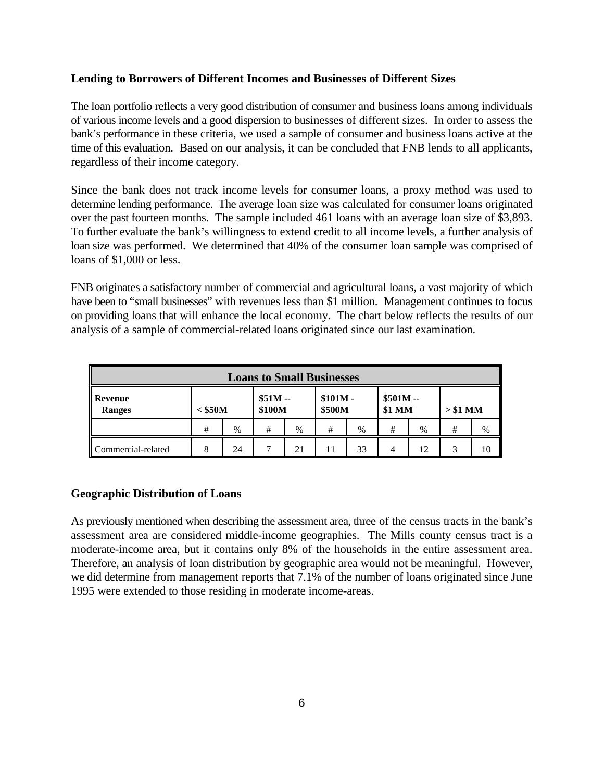### **Lending to Borrowers of Different Incomes and Businesses of Different Sizes**

The loan portfolio reflects a very good distribution of consumer and business loans among individuals of various income levels and a good dispersion to businesses of different sizes. In order to assess the bank's performance in these criteria, we used a sample of consumer and business loans active at the time of this evaluation. Based on our analysis, it can be concluded that FNB lends to all applicants, regardless of their income category.

Since the bank does not track income levels for consumer loans, a proxy method was used to determine lending performance. The average loan size was calculated for consumer loans originated over the past fourteen months. The sample included 461 loans with an average loan size of \$3,893. To further evaluate the bank's willingness to extend credit to all income levels, a further analysis of loan size was performed. We determined that 40% of the consumer loan sample was comprised of loans of \$1,000 or less.

FNB originates a satisfactory number of commercial and agricultural loans, a vast majority of which have been to "small businesses" with revenues less than \$1 million. Management continues to focus on providing loans that will enhance the local economy. The chart below reflects the results of our analysis of a sample of commercial-related loans originated since our last examination.

| <b>Loans to Small Businesses</b> |           |    |                    |    |                     |    |                     |      |           |    |  |
|----------------------------------|-----------|----|--------------------|----|---------------------|----|---------------------|------|-----------|----|--|
| Revenue<br>║<br><b>Ranges</b>    | $<$ \$50M |    | $$51M -$<br>\$100M |    | $$101M -$<br>\$500M |    | $$501M -$<br>\$1 MM |      | $> $1$ MM |    |  |
|                                  | #         | %  | #                  | %  | #                   | %  | #                   | $\%$ | #         | %  |  |
| Commercial-related               | 8         | 24 |                    | 21 | 11                  | 33 |                     | 10   | 3         | 10 |  |

## **Geographic Distribution of Loans**

As previously mentioned when describing the assessment area, three of the census tracts in the bank's assessment area are considered middle-income geographies. The Mills county census tract is a moderate-income area, but it contains only 8% of the households in the entire assessment area. Therefore, an analysis of loan distribution by geographic area would not be meaningful. However, we did determine from management reports that 7.1% of the number of loans originated since June 1995 were extended to those residing in moderate income-areas.